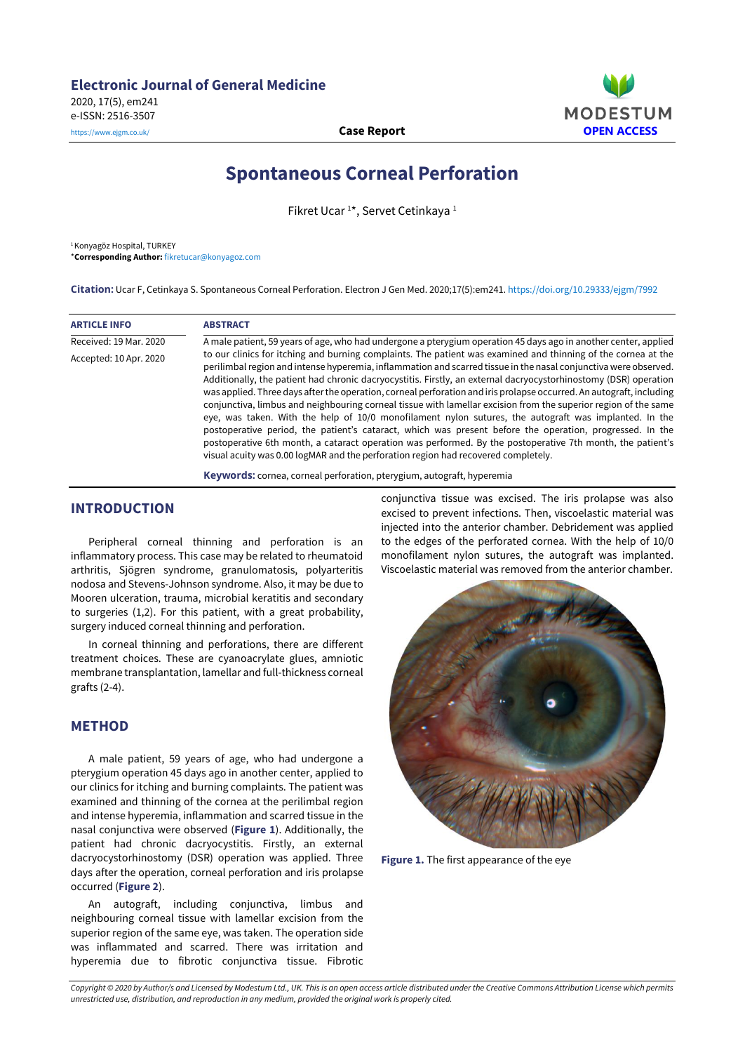e-ISSN: 2516-3507



# **Spontaneous Corneal Perforation**

Fikret Ucar<sup>1\*</sup>, Servet Cetinkaya<sup>1</sup>

<sup>1</sup> Konyagöz Hospital, TURKEY \***Corresponding Author:** [fikretucar@konyagoz.com](mailto:fikretucar@konyagoz.com)

**Citation:** Ucar F, Cetinkaya S. Spontaneous Corneal Perforation. Electron J Gen Med. 2020;17(5):em241. <https://doi.org/10.29333/ejgm/7992>

| <b>ARTICLE INFO</b>    | <b>ABSTRACT</b>                                                                                                                                                                                                                                                                                                                                                                                                                                                                                                                                                                                                                                                                                                                                                                                                                                                                                                                                                                                                           |
|------------------------|---------------------------------------------------------------------------------------------------------------------------------------------------------------------------------------------------------------------------------------------------------------------------------------------------------------------------------------------------------------------------------------------------------------------------------------------------------------------------------------------------------------------------------------------------------------------------------------------------------------------------------------------------------------------------------------------------------------------------------------------------------------------------------------------------------------------------------------------------------------------------------------------------------------------------------------------------------------------------------------------------------------------------|
| Received: 19 Mar. 2020 | A male patient, 59 years of age, who had undergone a pterygium operation 45 days ago in another center, applied                                                                                                                                                                                                                                                                                                                                                                                                                                                                                                                                                                                                                                                                                                                                                                                                                                                                                                           |
| Accepted: 10 Apr. 2020 | to our clinics for itching and burning complaints. The patient was examined and thinning of the cornea at the<br>perilimbal region and intense hyperemia, inflammation and scarred tissue in the nasal conjunctiva were observed.<br>Additionally, the patient had chronic dacryocystitis. Firstly, an external dacryocystorhinostomy (DSR) operation<br>was applied. Three days after the operation, corneal perforation and iris prolapse occurred. An autograft, including<br>conjunctiva, limbus and neighbouring corneal tissue with lamellar excision from the superior region of the same<br>eye, was taken. With the help of 10/0 monofilament nylon sutures, the autograft was implanted. In the<br>postoperative period, the patient's cataract, which was present before the operation, progressed. In the<br>postoperative 6th month, a cataract operation was performed. By the postoperative 7th month, the patient's<br>visual acuity was 0.00 logMAR and the perforation region had recovered completely. |
|                        | $\mathbf{R}$ and a set of the set of the set of the set of the set of the set of the set of the set of the set of the set of the set of the set of the set of the set of the set of the set of the set of the set of the set of t                                                                                                                                                                                                                                                                                                                                                                                                                                                                                                                                                                                                                                                                                                                                                                                         |

**Keywords:** cornea, corneal perforation, pterygium, autograft, hyperemia

## **INTRODUCTION**

Peripheral corneal thinning and perforation is an inflammatory process. This case may be related to rheumatoid arthritis, Sjögren syndrome, granulomatosis, polyarteritis nodosa and Stevens-Johnson syndrome. Also, it may be due to Mooren ulceration, trauma, microbial keratitis and secondary to surgeries (1,2). For this patient, with a great probability, surgery induced corneal thinning and perforation.

In corneal thinning and perforations, there are different treatment choices. These are cyanoacrylate glues, amniotic membrane transplantation, lamellar and full-thickness corneal grafts (2-4).

### **METHOD**

A male patient, 59 years of age, who had undergone a pterygium operation 45 days ago in another center, applied to our clinics for itching and burning complaints. The patient was examined and thinning of the cornea at the perilimbal region and intense hyperemia, inflammation and scarred tissue in the nasal conjunctiva were observed (**Figure 1**). Additionally, the patient had chronic dacryocystitis. Firstly, an external dacryocystorhinostomy (DSR) operation was applied. Three days after the operation, corneal perforation and iris prolapse occurred (**Figure 2**).

An autograft, including conjunctiva, limbus and neighbouring corneal tissue with lamellar excision from the superior region of the same eye, was taken. The operation side was inflammated and scarred. There was irritation and hyperemia due to fibrotic conjunctiva tissue. Fibrotic

conjunctiva tissue was excised. The iris prolapse was also excised to prevent infections. Then, viscoelastic material was injected into the anterior chamber. Debridement was applied to the edges of the perforated cornea. With the help of 10/0 monofilament nylon sutures, the autograft was implanted. Viscoelastic material was removed from the anterior chamber.



**Figure 1.** The first appearance of the eye

Copyright © 2020 by Author/s and Licensed by Modestum Ltd., UK. This is an open access article distributed under the Creative Commons Attribution License which permits *unrestricted use, distribution, and reproduction in any medium, provided the original work is properly cited.*